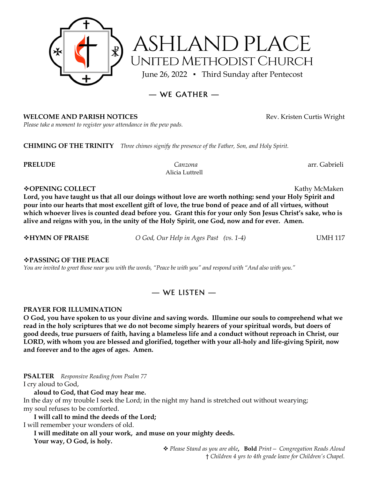

ASHLAND PLACE UNITED METHODIST CHURCH

June 26, 2022 • Third Sunday after Pentecost

# $-$  WE GATHER  $-$

## **WELCOME AND PARISH NOTICES** Rev. Kristen Curtis Wright

*Please take a moment to register your attendance in the pew pads.*

**CHIMING OF THE TRINITY** *Three chimes signify the presence of the Father, Son, and Holy Spirit.*

**PRELUDE** *Canzona* arr. Gabrieli Alicia Luttrell

## ◆**OPENING COLLECT** Kathy McMaken

**Lord, you have taught us that all our doings without love are worth nothing: send your Holy Spirit and pour into our hearts that most excellent gift of love, the true bond of peace and of all virtues, without which whoever lives is counted dead before you. Grant this for your only Son Jesus Christ's sake, who is alive and reigns with you, in the unity of the Holy Spirit, one God, now and for ever. Amen.**

❖**HYMN OF PRAISE** *O God, Our Help in Ages Past (vs. 1-4)* UMH 117

## ❖**PASSING OF THE PEACE**

*You are invited to greet those near you with the words, "Peace be with you" and respond with "And also with you."*

# — WE LISTEN —

## **PRAYER FOR ILLUMINATION**

**O God, you have spoken to us your divine and saving words. Illumine our souls to comprehend what we read in the holy scriptures that we do not become simply hearers of your spiritual words, but doers of good deeds, true pursuers of faith, having a blameless life and a conduct without reproach in Christ, our LORD, with whom you are blessed and glorified, together with your all-holy and life-giving Spirit, now and forever and to the ages of ages. Amen.**

**PSALTER** *Responsive Reading from Psalm 77*

I cry aloud to God,

## **aloud to God, that God may hear me.**

In the day of my trouble I seek the Lord; in the night my hand is stretched out without wearying; my soul refuses to be comforted.

**I will call to mind the deeds of the Lord;**

I will remember your wonders of old.

**I will meditate on all your work, and muse on your mighty deeds.**

**Your way, O God, is holy.**

❖ *Please Stand as you are able***, Bold** *Print— Congregation Reads Aloud* † *Children 4 yrs to 4th grade leave for Children's Chapel.*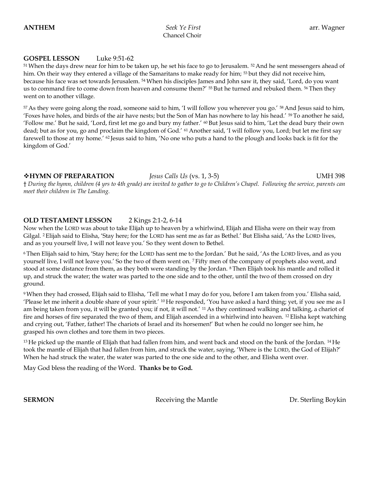**ANTHEM** *Seek Ye First* arr. Wagner Chancel Choir

#### **GOSPEL LESSON** Luke 9:51-62

<sup>51</sup> When the days drew near for him to be taken up, he set his face to go to Jerusalem. <sup>52</sup> And he sent messengers ahead of him. On their way they entered a village of the Samaritans to make ready for him; <sup>53</sup> but they did not receive him, because his face was set towards Jerusalem. <sup>54</sup> When his disciples James and John saw it, they said, 'Lord, do you want us to command fire to come down from heaven and consume them?'  $55$  But he turned and rebuked them.  $56$  Then they went on to another village.

<sup>57</sup> As they were going along the road, someone said to him, 'I will follow you wherever you go.' <sup>58</sup> And Jesus said to him, 'Foxes have holes, and birds of the air have nests; but the Son of Man has nowhere to lay his head.' <sup>59</sup> To another he said, 'Follow me.' But he said, 'Lord, first let me go and bury my father.'  $\omega$  But Jesus said to him, 'Let the dead bury their own dead; but as for you, go and proclaim the kingdom of God.' <sup>61</sup> Another said, 'I will follow you, Lord; but let me first say farewell to those at my home.' <sup>62</sup> Jesus said to him, 'No one who puts a hand to the plough and looks back is fit for the kingdom of God.'

#### ❖**HYMN OF PREPARATION** *Jesus Calls Us* (vs. 1, 3-5)UMH 398

† *During the hymn, children (4 yrs to 4th grade) are invited to gather to go to Children's Chapel. Following the service, parents can meet their children in The Landing.*

### **OLD TESTAMENT LESSON** 2 Kings 2:1-2, 6-14

Now when the LORD was about to take Elijah up to heaven by a whirlwind, Elijah and Elisha were on their way from Gilgal. <sup>2</sup> Elijah said to Elisha, 'Stay here; for the LORD has sent me as far as Bethel.' But Elisha said, 'As the LORD lives, and as you yourself live, I will not leave you.' So they went down to Bethel.

<sup>6</sup> Then Elijah said to him, 'Stay here; for the LORD has sent me to the Jordan.' But he said, 'As the LORD lives, and as you yourself live, I will not leave you.' So the two of them went on. <sup>7</sup> Fifty men of the company of prophets also went, and stood at some distance from them, as they both were standing by the Jordan. <sup>8</sup> Then Elijah took his mantle and rolled it up, and struck the water; the water was parted to the one side and to the other, until the two of them crossed on dry ground.

<sup>9</sup> When they had crossed, Elijah said to Elisha, 'Tell me what I may do for you, before I am taken from you.' Elisha said, 'Please let me inherit a double share of your spirit.' <sup>10</sup> He responded, 'You have asked a hard thing; yet, if you see me as I am being taken from you, it will be granted you; if not, it will not.<sup>' 11</sup> As they continued walking and talking, a chariot of fire and horses of fire separated the two of them, and Elijah ascended in a whirlwind into heaven. <sup>12</sup> Elisha kept watching and crying out, 'Father, father! The chariots of Israel and its horsemen!' But when he could no longer see him, he grasped his own clothes and tore them in two pieces.

 $13$  He picked up the mantle of Elijah that had fallen from him, and went back and stood on the bank of the Jordan.  $14$  He took the mantle of Elijah that had fallen from him, and struck the water, saying, 'Where is the LORD, the God of Elijah?' When he had struck the water, the water was parted to the one side and to the other, and Elisha went over.

May God bless the reading of the Word. **Thanks be to God.**

**SERMON Receiving the Mantle 19th Contract Contract Contract Contract Contract Contract Contract Contract Contract Contract Contract Contract Contract Contract Contract Contract Contract Contract Contract Contract Contra**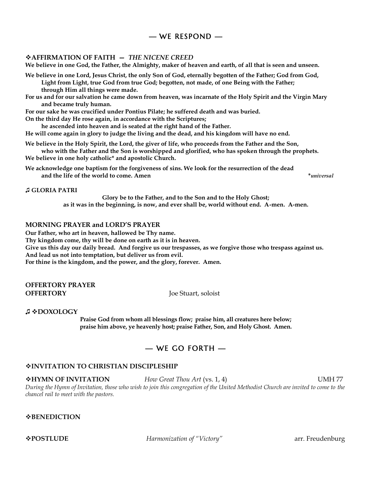# — WE RESPOND —

#### ❖**AFFIRMATION OF FAITH —** *THE NICENE CREED*

**We believe in one God, the Father, the Almighty, maker of heaven and earth, of all that is seen and unseen.** 

**We believe in one Lord, Jesus Christ, the only Son of God, eternally begotten of the Father; God from God, Light from Light, true God from true God; begotten, not made, of one Being with the Father; through Him all things were made.** 

**For us and for our salvation he came down from heaven, was incarnate of the Holy Spirit and the Virgin Mary and became truly human.** 

**For our sake he was crucified under Pontius Pilate; he suffered death and was buried.** 

**On the third day He rose again, in accordance with the Scriptures;**

**he ascended into heaven and is seated at the right hand of the Father.** 

**He will come again in glory to judge the living and the dead, and his kingdom will have no end.** 

**We believe in the Holy Spirit, the Lord, the giver of life, who proceeds from the Father and the Son, who with the Father and the Son is worshipped and glorified, who has spoken through the prophets.** 

**We believe in one holy catholic\* and apostolic Church.** 

**We acknowledge one baptism for the forgiveness of sins. We look for the resurrection of the dead and the life of the world to come. Amen \****universal*

**♫ GLORIA PATRI**

**Glory be to the Father, and to the Son and to the Holy Ghost; as it was in the beginning, is now, and ever shall be, world without end. A-men. A-men.**

#### **MORNING PRAYER and LORD'S PRAYER**

**Our Father, who art in heaven, hallowed be Thy name.** 

**Thy kingdom come, thy will be done on earth as it is in heaven.**

**Give us this day our daily bread. And forgive us our trespasses, as we forgive those who trespass against us.** 

**And lead us not into temptation, but deliver us from evil.** 

**For thine is the kingdom, and the power, and the glory, forever. Amen.**

#### **OFFERTORY PRAYER OFFERTORY** Joe Stuart, soloist

♫ ❖**DOXOLOGY** 

**Praise God from whom all blessings flow; praise him, all creatures here below; praise him above, ye heavenly host; praise Father, Son, and Holy Ghost. Amen.**

# — WE GO FORTH —

#### ❖**INVITATION TO CHRISTIAN DISCIPLESHIP**

#### ❖**HYMN OF INVITATION** *How Great Thou Art* (vs. 1, 4)UMH 77

*During the Hymn of Invitation, those who wish to join this congregation of the United Methodist Church are invited to come to the chancel rail to meet with the pastors.* 

#### ❖**BENEDICTION**

❖**POSTLUDE** *Harmonization of "Victory"* arr. Freudenburg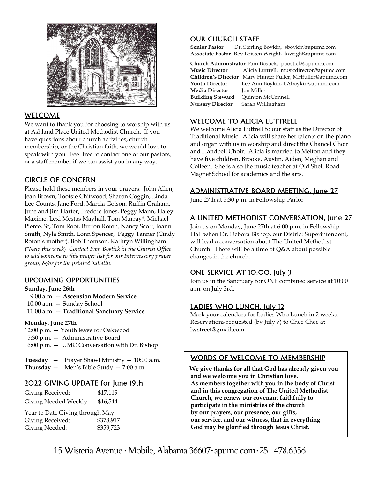

# **WELCOME**

We want to thank you for choosing to worship with us at Ashland Place United Methodist Church. If you have questions about church activities, church membership, or the Christian faith, we would love to speak with you. Feel free to contact one of our pastors, or a staff member if we can assist you in any way.

# CIRCLE OF CONCERN

Please hold these members in your prayers: John Allen, Jean Brown, Tootsie Chitwood, Sharon Coggin, Linda Lee Counts, Jane Ford, Marcia Golson, Ruffin Graham, June and Jim Harter, Freddie Jones, Peggy Mann, Haley Maxime, Lexi Mestas Mayhall, Tom Murray\*, Michael Pierce, Sr, Tom Root, Burton Roton, Nancy Scott, Joann Smith, Nyla Smith, Lonn Spencer, Peggy Tanner (Cindy Roton's mother), Bob Thomson, Kathryn Willingham. (\**New this week*) *Contact Pam Bostick in the Church Office to add someone to this prayer list for our Intercessory prayer group, &/or for the printed bulletin.* 

## UPCOMING OPPORTUNITIES

### **Sunday, June 26th**

9:00 a.m. — **Ascension Modern Service**  10:00 a.m. — Sunday School 11:00 a.m. — **Traditional Sanctuary Service** 

## **Monday, June 27th**

12:00 p.m. — Youth leave for Oakwood 5:30 p.m. — Administrative Board 6:00 p.m. — UMC Conversation with Dr. Bishop

| Tuesday —  | Prayer Shawl Ministry - 10:00 a.m. |
|------------|------------------------------------|
| Thursday — | Men's Bible Study - 7:00 a.m.      |

## 2022 GIVING UPDATE for June 19th

| Giving Received:      | \$17,119 |
|-----------------------|----------|
| Giving Needed Weekly: | \$16,544 |

Year to Date Giving through May: Giving Received: \$378,917 Giving Needed: \$359,723

# **OUR CHURCH STAFF**

**Senior Pastor** Dr. Sterling Boykin, sboykin@apumc.com **Associate Pastor** Rev Kristen Wright, kwright@apumc.com

**Church Administrator** Pam Bostick, pbostick@apumc.com **Music Director** Alicia Luttrell, musicdirector@apumc.com **Children's Director** Mary Hunter Fuller, MHfuller@apumc.com **Youth Director** Lee Ann Boykin, LAboykin@apumc.com **Media Director** Jon Miller **Building Steward** Quinton McConnell **Nursery Director** Sarah Willingham

# WELCOME TO ALICIA LUTTRELL

We welcome Alicia Luttrell to our staff as the Director of Traditional Music. Alicia will share her talents on the piano and organ with us in worship and direct the Chancel Choir and Handbell Choir. Alicia is married to Melton and they have five children, Brooke, Austin, Aiden, Meghan and Colleen. She is also the music teacher at Old Shell Road Magnet School for academics and the arts.

# ADMINISTRATIVE BOARD MEETING, June 27

June 27th at 5:30 p.m. in Fellowship Parlor

# A UNITED METHODIST CONVERSATION, June 27

Join us on Monday, June 27th at 6:00 p.m. in Fellowship Hall when Dr. Debora Bishop, our District Superintendent, will lead a conversation about The United Methodist Church. There will be a time of Q&A about possible changes in the church.

# ONE SERVICE AT 10:00, July 3

Join us in the Sanctuary for ONE combined service at 10:00 a.m. on July 3rd.

# LADIES WHO LUNCH, July 12

Mark your calendars for Ladies Who Lunch in 2 weeks. Reservations requested (by July 7) to Chee Chee at lwstreet@gmail.com.

# WORDS OF WELCOME TO MEMBERSHIP

**We give thanks for all that God has already given you and we welcome you in Christian love. As members together with you in the body of Christ and in this congregation of The United Methodist Church, we renew our covenant faithfully to participate in the ministries of the church by our prayers, our presence, our gifts, our service, and our witness, that in everything God may be glorif**i**ed through Jesus Christ.**

15 Wisteria Avenue • Mobile, Alabama 36607 • apumc.com • 251.478.6356